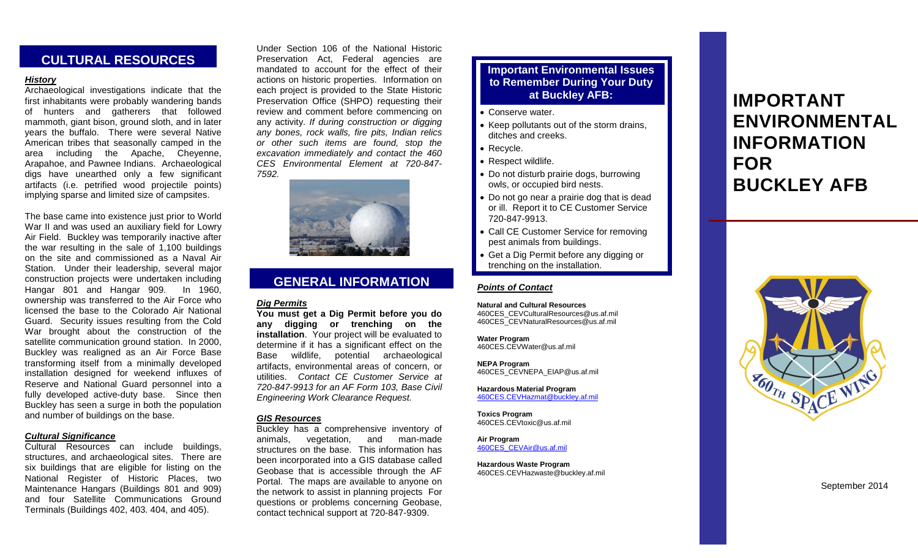# **CULTURAL RESOURCES**

# *History*

Archaeological investigations indicate that the first inhabitants were probably wandering bands of hunters and gatherers that followed mammoth, giant bison, ground sloth, and in later years the buffalo. There were several Native American tribes that seasonally camped in the area including the Apache, Cheyenne, Arapahoe, and Pawnee Indians. Archaeological digs have unearthed only a few significant artifacts (i.e. petrified wood projectile points) implying sparse and limited size of campsites.

The base came into existence just prior to World War II and was used an auxiliary field for Lowry Air Field. Buckley was temporarily inactive after the war resulting in the sale of 1,100 buildings on the site and commissioned as a Naval Air Station. Under their leadership, several major construction projects were undertaken including Hangar 801 and Hangar 909. In 1960, ownership was transferred to the Air Force who licensed the base to the Colorado Air National Guard. Security issues resulting from the Cold War brought about the construction of the satellite communication ground station. In 2000, Buckley was realigned as an Air Force Base transforming itself from a minimally developed installation designed for weekend influxes of Reserve and National Guard personnel into a fully developed active-duty base. Since then Buckley has seen a surge in both the population and number of buildings on the base.

## *Cultural Significance*

Cultural Resources can include buildings, structures, and archaeological sites. There are six buildings that are eligible for listing on the National Register of Historic Places, two Maintenance Hangars (Buildings 801 and 909) and four Satellite Communications Ground Terminals (Buildings 402, 403. 404, and 405).

Under Section 106 of the National Historic Preservation Act, Federal agencies are mandated to account for the effect of their actions on historic properties. Information on each project is provided to the State Historic Preservation Office (SHPO) requesting their review and comment before commencing on any activity. *If during construction or digging any bones, rock walls, fire pits, Indian relics or other such items are found, stop the excavation immediately and contact the 460 CES Environmental Element at 720-847- 7592.*



# **GENERAL INFORMATION**

# *Dig Permits*

**You must get a Dig Permit before you do any digging or trenching on the installation**. Your project will be evaluated to determine if it has a significant effect on the Base wildlife, potential archaeological artifacts, environmental areas of concern, or utilities. *Contact CE Customer Service at 720-847-9913 for an AF Form 103, Base Civil Engineering Work Clearance Request.*

#### *GIS Resources*

Buckley has a comprehensive inventory of animals, vegetation, and man-made structures on the base. This information has been incorporated into a GIS database called Geobase that is accessible through the AF Portal. The maps are available to anyone on the network to assist in planning projects For questions or problems concerning Geobase, contact technical support at 720-847-9309.

# **Important Environmental Issues to Remember During Your Duty**

- Conserve water.
- Keep pollutants out of the storm drains, ditches and creeks.
- Recycle.
- Respect wildlife.
- Do not disturb prairie dogs, burrowing owls, or occupied bird nests.
- Do not go near a prairie dog that is dead or ill. Report it to CE Customer Service 720-847-9913.
- Call CE Customer Service for removing pest animals from buildings.
- Get a Dig Permit before any digging or trenching on the installation.

# *Points of Contact*

**Natural and Cultural Resources** [460CES\\_CEVCulturalResources@us.af.mil](mailto:460CES_CEVCulturalResources@us.af.mil) [460CES\\_CEVNaturalResources@us.af.mil](mailto:460CES_CEVNaturalResources@us.af.mil)

**Water Program**

460CES.CEVWater@us.af.mil

**NEPA Program** [460CES\\_CEVNEPA\\_EIAP@us.af.mil](mailto:460CES_CEVNEPA_EIAP@us.af.mil)

**Hazardous Material Program** [460CES.CEVHazmat@buckley.af.mil](mailto:460CES.CEVHazmat@buckley.af.mil)

**Toxics Program** [460CES.CEVtoxic@us.af.mil](mailto:460CES.CEVtoxic@us.af.mil)

**Air Program** [460CES\\_CEVAir@us.af.mil](mailto:460CES_CEVAir@us.af.mil)

**Hazardous Waste Program** 460CES.CEVHazwaste@buckley.af.mil

# **at Buckley AFB: IMPORTANT ENVIRONMENTAL INFORMATION FOR BUCKLEY AFB**



September 2014